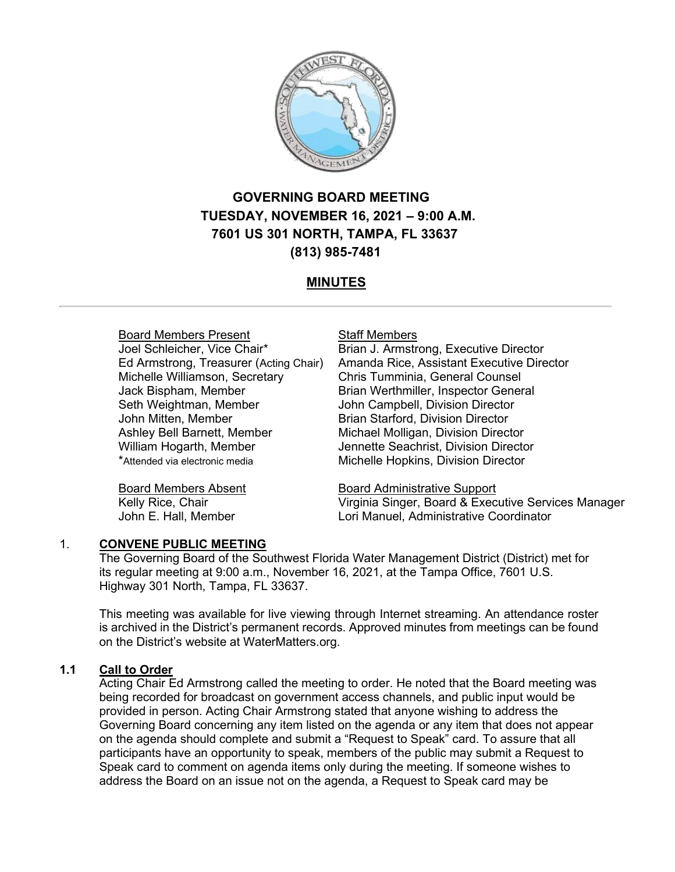

# **GOVERNING BOARD MEETING TUESDAY, NOVEMBER 16, 2021 – 9:00 A.M. 7601 US 301 NORTH, TAMPA, FL 33637 (813) 985-7481**

# **MINUTES**

### Board Members Present

Joel Schleicher, Vice Chair\* Ed Armstrong, Treasurer (Acting Chair) Michelle Williamson, Secretary Jack Bispham, Member Seth Weightman, Member John Mitten, Member Ashley Bell Barnett, Member William Hogarth, Member \*Attended via electronic media

Board Members Absent Kelly Rice, Chair John E. Hall, Member

#### Staff Members

Brian J. Armstrong, Executive Director Amanda Rice, Assistant Executive Director Chris Tumminia, General Counsel Brian Werthmiller, Inspector General John Campbell, Division Director Brian Starford, Division Director Michael Molligan, Division Director Jennette Seachrist, Division Director Michelle Hopkins, Division Director

Board Administrative Support Virginia Singer, Board & Executive Services Manager Lori Manuel, Administrative Coordinator

### 1. **CONVENE PUBLIC MEETING**

The Governing Board of the Southwest Florida Water Management District (District) met for its regular meeting at 9:00 a.m., November 16, 2021, at the Tampa Office, 7601 U.S. Highway 301 North, Tampa, FL 33637.

This meeting was available for live viewing through Internet streaming. An attendance roster is archived in the District's permanent records. Approved minutes from meetings can be found on the District's website at WaterMatters.org.

### **1.1 Call to Order**

Acting Chair Ed Armstrong called the meeting to order. He noted that the Board meeting was being recorded for broadcast on government access channels, and public input would be provided in person. Acting Chair Armstrong stated that anyone wishing to address the Governing Board concerning any item listed on the agenda or any item that does not appear on the agenda should complete and submit a "Request to Speak" card. To assure that all participants have an opportunity to speak, members of the public may submit a Request to Speak card to comment on agenda items only during the meeting. If someone wishes to address the Board on an issue not on the agenda, a Request to Speak card may be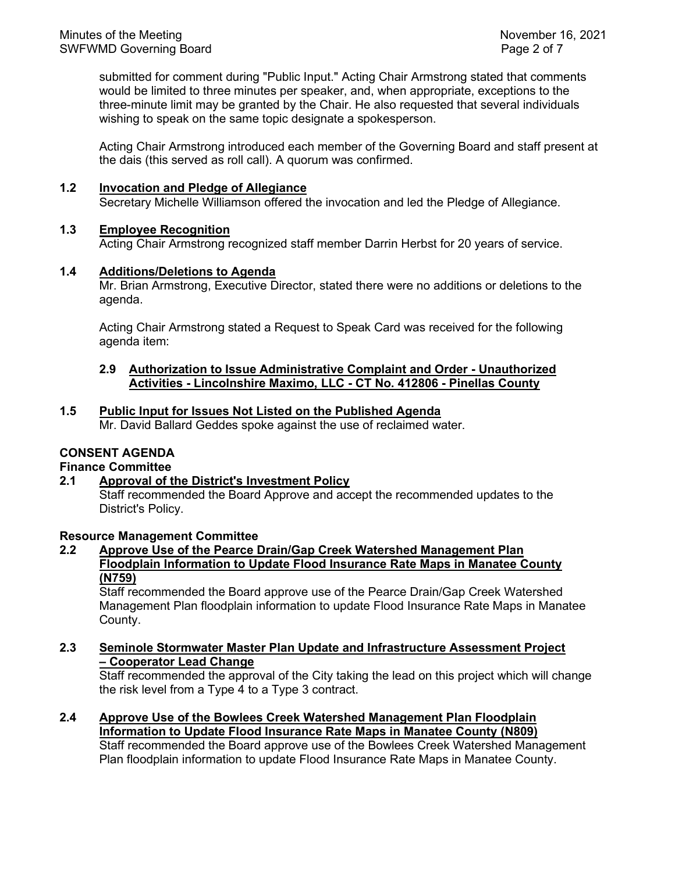submitted for comment during "Public Input." Acting Chair Armstrong stated that comments would be limited to three minutes per speaker, and, when appropriate, exceptions to the three-minute limit may be granted by the Chair. He also requested that several individuals wishing to speak on the same topic designate a spokesperson.

Acting Chair Armstrong introduced each member of the Governing Board and staff present at the dais (this served as roll call). A quorum was confirmed.

### **1.2 Invocation and Pledge of Allegiance**

Secretary Michelle Williamson offered the invocation and led the Pledge of Allegiance.

### **1.3 Employee Recognition**

Acting Chair Armstrong recognized staff member Darrin Herbst for 20 years of service.

### **1.4 Additions/Deletions to Agenda**

Mr. Brian Armstrong, Executive Director, stated there were no additions or deletions to the agenda.

Acting Chair Armstrong stated a Request to Speak Card was received for the following agenda item:

#### **2.9 Authorization to Issue Administrative Complaint and Order - Unauthorized Activities - Lincolnshire Maximo, LLC - CT No. 412806 - Pinellas County**

### **1.5 Public Input for Issues Not Listed on the Published Agenda**

Mr. David Ballard Geddes spoke against the use of reclaimed water.

# **CONSENT AGENDA**

### **Finance Committee**

### **2.1 Approval of the District's Investment Policy**

Staff recommended the Board Approve and accept the recommended updates to the District's Policy.

### **Resource Management Committee**

### **2.2 Approve Use of the Pearce Drain/Gap Creek Watershed Management Plan Floodplain Information to Update Flood Insurance Rate Maps in Manatee County (N759)**

Staff recommended the Board approve use of the Pearce Drain/Gap Creek Watershed Management Plan floodplain information to update Flood Insurance Rate Maps in Manatee County.

### **2.3 Seminole Stormwater Master Plan Update and Infrastructure Assessment Project – Cooperator Lead Change**

Staff recommended the approval of the City taking the lead on this project which will change the risk level from a Type 4 to a Type 3 contract.

**2.4 Approve Use of the Bowlees Creek Watershed Management Plan Floodplain Information to Update Flood Insurance Rate Maps in Manatee County (N809)**

Staff recommended the Board approve use of the Bowlees Creek Watershed Management Plan floodplain information to update Flood Insurance Rate Maps in Manatee County.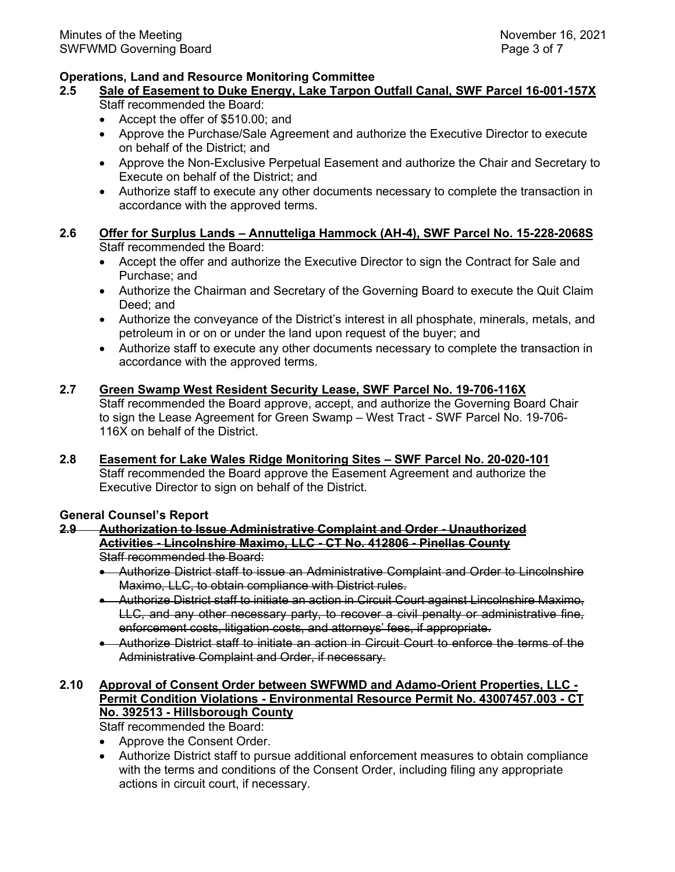### **Operations, Land and Resource Monitoring Committee**

- **2.5 Sale of Easement to Duke Energy, Lake Tarpon Outfall Canal, SWF Parcel 16-001-157X** Staff recommended the Board:
	- Accept the offer of \$510.00; and
	- Approve the Purchase/Sale Agreement and authorize the Executive Director to execute on behalf of the District; and
	- Approve the Non-Exclusive Perpetual Easement and authorize the Chair and Secretary to Execute on behalf of the District; and
	- Authorize staff to execute any other documents necessary to complete the transaction in accordance with the approved terms.
- **2.6 Offer for Surplus Lands – Annutteliga Hammock (AH-4), SWF Parcel No. 15-228-2068S** Staff recommended the Board:
	- Accept the offer and authorize the Executive Director to sign the Contract for Sale and Purchase; and
	- Authorize the Chairman and Secretary of the Governing Board to execute the Quit Claim Deed; and
	- Authorize the conveyance of the District's interest in all phosphate, minerals, metals, and petroleum in or on or under the land upon request of the buyer; and
	- Authorize staff to execute any other documents necessary to complete the transaction in accordance with the approved terms.

### **2.7 Green Swamp West Resident Security Lease, SWF Parcel No. 19-706-116X**

Staff recommended the Board approve, accept, and authorize the Governing Board Chair to sign the Lease Agreement for Green Swamp – West Tract - SWF Parcel No. 19-706- 116X on behalf of the District.

**2.8 Easement for Lake Wales Ridge Monitoring Sites – SWF Parcel No. 20-020-101** Staff recommended the Board approve the Easement Agreement and authorize the Executive Director to sign on behalf of the District.

#### **General Counsel's Report**

#### **2.9 Authorization to Issue Administrative Complaint and Order - Unauthorized Activities - Lincolnshire Maximo, LLC - CT No. 412806 - Pinellas County** Staff recommended the Board:

- Authorize District staff to issue an Administrative Complaint and Order to Lincolnshire Maximo, LLC, to obtain compliance with District rules.
- Authorize District staff to initiate an action in Circuit Court against Lincolnshire Maximo, LLC, and any other necessary party, to recover a civil penalty or administrative fine, enforcement costs, litigation costs, and attorneys' fees, if appropriate.
- Authorize District staff to initiate an action in Circuit Court to enforce the terms of the Administrative Complaint and Order, if necessary.

# **2.10 Approval of Consent Order between SWFWMD and Adamo-Orient Properties, LLC - Permit Condition Violations - Environmental Resource Permit No. 43007457.003 - CT No. 392513 - Hillsborough County**

Staff recommended the Board:

- Approve the Consent Order.
- Authorize District staff to pursue additional enforcement measures to obtain compliance with the terms and conditions of the Consent Order, including filing any appropriate actions in circuit court, if necessary.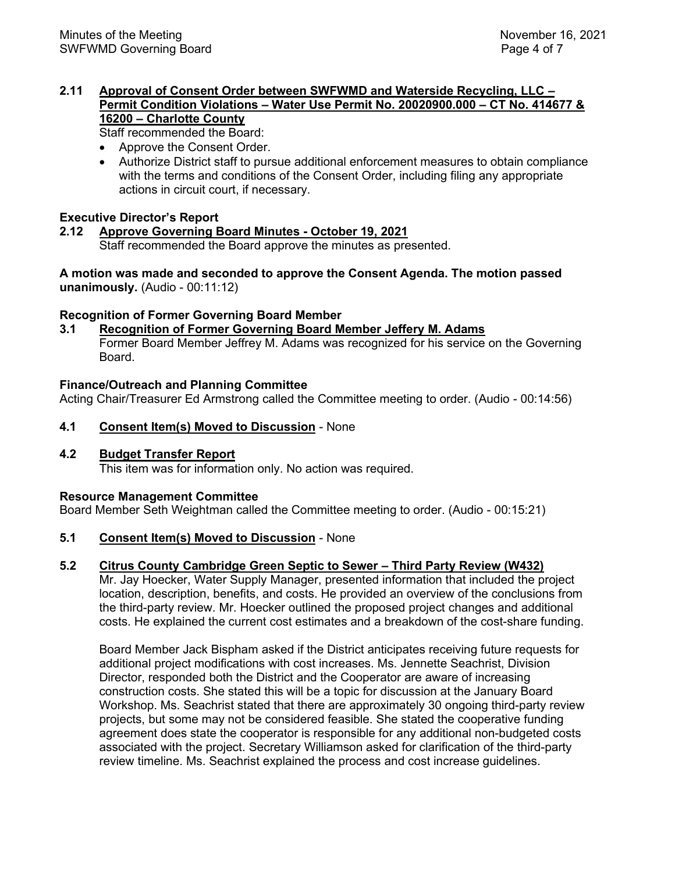### **2.11 Approval of Consent Order between SWFWMD and Waterside Recycling, LLC – Permit Condition Violations – Water Use Permit No. 20020900.000 – CT No. 414677 & 16200 – Charlotte County**

Staff recommended the Board:

- Approve the Consent Order.
- Authorize District staff to pursue additional enforcement measures to obtain compliance with the terms and conditions of the Consent Order, including filing any appropriate actions in circuit court, if necessary.

## **Executive Director's Report**

#### **2.12 Approve Governing Board Minutes - October 19, 2021** Staff recommended the Board approve the minutes as presented.

**A motion was made and seconded to approve the Consent Agenda. The motion passed unanimously.** (Audio - 00:11:12)

### **Recognition of Former Governing Board Member**

**3.1 Recognition of Former Governing Board Member Jeffery M. Adams** Former Board Member Jeffrey M. Adams was recognized for his service on the Governing Board.

### **Finance/Outreach and Planning Committee**

Acting Chair/Treasurer Ed Armstrong called the Committee meeting to order. (Audio - 00:14:56)

**4.1 Consent Item(s) Moved to Discussion** - None

### **4.2 Budget Transfer Report**

This item was for information only. No action was required.

### **Resource Management Committee**

Board Member Seth Weightman called the Committee meeting to order. (Audio - 00:15:21)

### **5.1 Consent Item(s) Moved to Discussion** - None

### **5.2 Citrus County Cambridge Green Septic to Sewer – Third Party Review (W432)**

Mr. Jay Hoecker, Water Supply Manager, presented information that included the project location, description, benefits, and costs. He provided an overview of the conclusions from the third-party review. Mr. Hoecker outlined the proposed project changes and additional costs. He explained the current cost estimates and a breakdown of the cost-share funding.

Board Member Jack Bispham asked if the District anticipates receiving future requests for additional project modifications with cost increases. Ms. Jennette Seachrist, Division Director, responded both the District and the Cooperator are aware of increasing construction costs. She stated this will be a topic for discussion at the January Board Workshop. Ms. Seachrist stated that there are approximately 30 ongoing third-party review projects, but some may not be considered feasible. She stated the cooperative funding agreement does state the cooperator is responsible for any additional non-budgeted costs associated with the project. Secretary Williamson asked for clarification of the third-party review timeline. Ms. Seachrist explained the process and cost increase guidelines.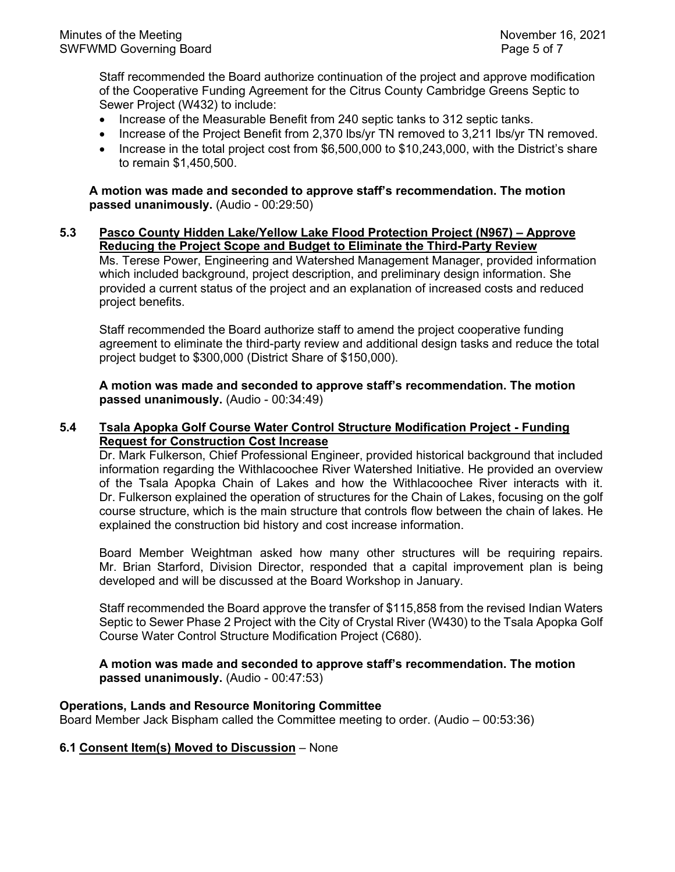Staff recommended the Board authorize continuation of the project and approve modification of the Cooperative Funding Agreement for the Citrus County Cambridge Greens Septic to Sewer Project (W432) to include:

- Increase of the Measurable Benefit from 240 septic tanks to 312 septic tanks.
- Increase of the Project Benefit from 2,370 lbs/yr TN removed to 3,211 lbs/yr TN removed.
- Increase in the total project cost from \$6,500,000 to \$10,243,000, with the District's share to remain \$1,450,500.

**A motion was made and seconded to approve staff's recommendation. The motion passed unanimously.** (Audio - 00:29:50)

**5.3 Pasco County Hidden Lake/Yellow Lake Flood Protection Project (N967) – Approve Reducing the Project Scope and Budget to Eliminate the Third-Party Review** Ms. Terese Power, Engineering and Watershed Management Manager, provided information which included background, project description, and preliminary design information. She provided a current status of the project and an explanation of increased costs and reduced project benefits.

Staff recommended the Board authorize staff to amend the project cooperative funding agreement to eliminate the third-party review and additional design tasks and reduce the total project budget to \$300,000 (District Share of \$150,000).

**A motion was made and seconded to approve staff's recommendation. The motion passed unanimously.** (Audio - 00:34:49)

### **5.4 Tsala Apopka Golf Course Water Control Structure Modification Project - Funding Request for Construction Cost Increase**

Dr. Mark Fulkerson, Chief Professional Engineer, provided historical background that included information regarding the Withlacoochee River Watershed Initiative. He provided an overview of the Tsala Apopka Chain of Lakes and how the Withlacoochee River interacts with it. Dr. Fulkerson explained the operation of structures for the Chain of Lakes, focusing on the golf course structure, which is the main structure that controls flow between the chain of lakes. He explained the construction bid history and cost increase information.

Board Member Weightman asked how many other structures will be requiring repairs. Mr. Brian Starford, Division Director, responded that a capital improvement plan is being developed and will be discussed at the Board Workshop in January.

Staff recommended the Board approve the transfer of \$115,858 from the revised Indian Waters Septic to Sewer Phase 2 Project with the City of Crystal River (W430) to the Tsala Apopka Golf Course Water Control Structure Modification Project (C680).

**A motion was made and seconded to approve staff's recommendation. The motion passed unanimously.** (Audio - 00:47:53)

### **Operations, Lands and Resource Monitoring Committee**

Board Member Jack Bispham called the Committee meeting to order. (Audio – 00:53:36)

### **6.1 Consent Item(s) Moved to Discussion** – None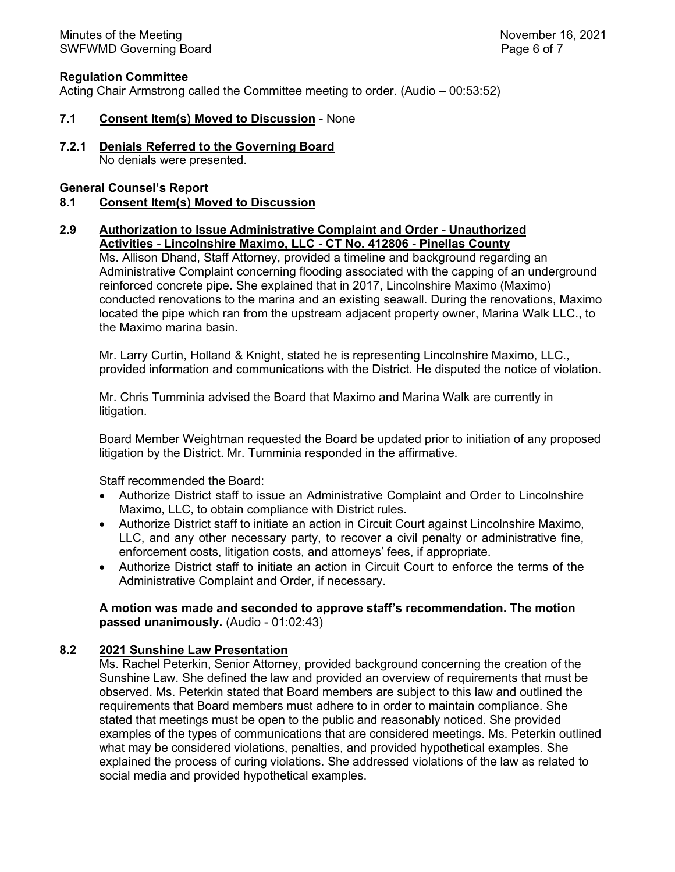### **Regulation Committee**

Acting Chair Armstrong called the Committee meeting to order. (Audio – 00:53:52)

#### **7.1 Consent Item(s) Moved to Discussion** - None

**7.2.1 Denials Referred to the Governing Board** No denials were presented.

#### **General Counsel's Report**

#### **8.1 Consent Item(s) Moved to Discussion**

#### **2.9 Authorization to Issue Administrative Complaint and Order - Unauthorized Activities - Lincolnshire Maximo, LLC - CT No. 412806 - Pinellas County**

Ms. Allison Dhand, Staff Attorney, provided a timeline and background regarding an Administrative Complaint concerning flooding associated with the capping of an underground reinforced concrete pipe. She explained that in 2017, Lincolnshire Maximo (Maximo) conducted renovations to the marina and an existing seawall. During the renovations, Maximo located the pipe which ran from the upstream adjacent property owner, Marina Walk LLC., to the Maximo marina basin.

Mr. Larry Curtin, Holland & Knight, stated he is representing Lincolnshire Maximo, LLC., provided information and communications with the District. He disputed the notice of violation.

Mr. Chris Tumminia advised the Board that Maximo and Marina Walk are currently in litigation.

Board Member Weightman requested the Board be updated prior to initiation of any proposed litigation by the District. Mr. Tumminia responded in the affirmative.

Staff recommended the Board:

- Authorize District staff to issue an Administrative Complaint and Order to Lincolnshire Maximo, LLC, to obtain compliance with District rules.
- Authorize District staff to initiate an action in Circuit Court against Lincolnshire Maximo, LLC, and any other necessary party, to recover a civil penalty or administrative fine, enforcement costs, litigation costs, and attorneys' fees, if appropriate.
- Authorize District staff to initiate an action in Circuit Court to enforce the terms of the Administrative Complaint and Order, if necessary.

### **A motion was made and seconded to approve staff's recommendation. The motion passed unanimously.** (Audio - 01:02:43)

### **8.2 2021 Sunshine Law Presentation**

Ms. Rachel Peterkin, Senior Attorney, provided background concerning the creation of the Sunshine Law. She defined the law and provided an overview of requirements that must be observed. Ms. Peterkin stated that Board members are subject to this law and outlined the requirements that Board members must adhere to in order to maintain compliance. She stated that meetings must be open to the public and reasonably noticed. She provided examples of the types of communications that are considered meetings. Ms. Peterkin outlined what may be considered violations, penalties, and provided hypothetical examples. She explained the process of curing violations. She addressed violations of the law as related to social media and provided hypothetical examples.